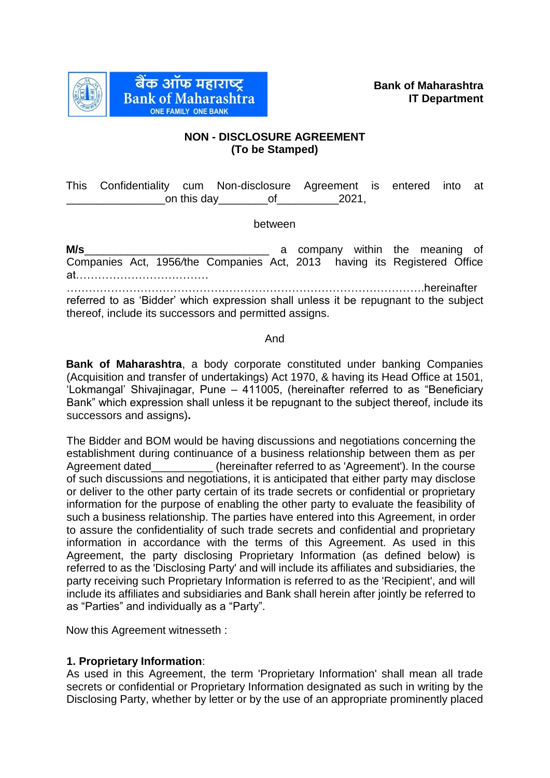

# **NON - DISCLOSURE AGREEMENT (To be Stamped)**

This Confidentiality cum Non-disclosure Agreement is entered into at on this day  $\qquad \qquad$  of  $\qquad \qquad$  2021,

### between

**M/s**\_\_\_\_\_\_\_\_\_\_\_\_\_\_\_\_\_\_\_\_\_\_\_\_\_\_\_\_\_\_ a company within the meaning of Companies Act, 1956*/*the Companies Act, 2013 having its Registered Office at………………………………

…………………………………………………………………………………….hereinafter referred to as 'Bidder' which expression shall unless it be repugnant to the subject thereof, include its successors and permitted assigns.

## And

**Bank of Maharashtra**, a body corporate constituted under banking Companies (Acquisition and transfer of undertakings) Act 1970, & having its Head Office at 1501, 'Lokmangal' Shivajinagar, Pune – 411005, (hereinafter referred to as "Beneficiary Bank" which expression shall unless it be repugnant to the subject thereof, include its successors and assigns)**.** 

The Bidder and BOM would be having discussions and negotiations concerning the establishment during continuance of a business relationship between them as per Agreement dated (hereinafter referred to as 'Agreement'). In the course of such discussions and negotiations, it is anticipated that either party may disclose or deliver to the other party certain of its trade secrets or confidential or proprietary information for the purpose of enabling the other party to evaluate the feasibility of such a business relationship. The parties have entered into this Agreement, in order to assure the confidentiality of such trade secrets and confidential and proprietary information in accordance with the terms of this Agreement. As used in this Agreement, the party disclosing Proprietary Information (as defined below) is referred to as the 'Disclosing Party' and will include its affiliates and subsidiaries, the party receiving such Proprietary Information is referred to as the 'Recipient', and will include its affiliates and subsidiaries and Bank shall herein after jointly be referred to as "Parties" and individually as a "Party".

Now this Agreement witnesseth :

## **1. Proprietary Information**:

As used in this Agreement, the term 'Proprietary Information' shall mean all trade secrets or confidential or Proprietary Information designated as such in writing by the Disclosing Party, whether by letter or by the use of an appropriate prominently placed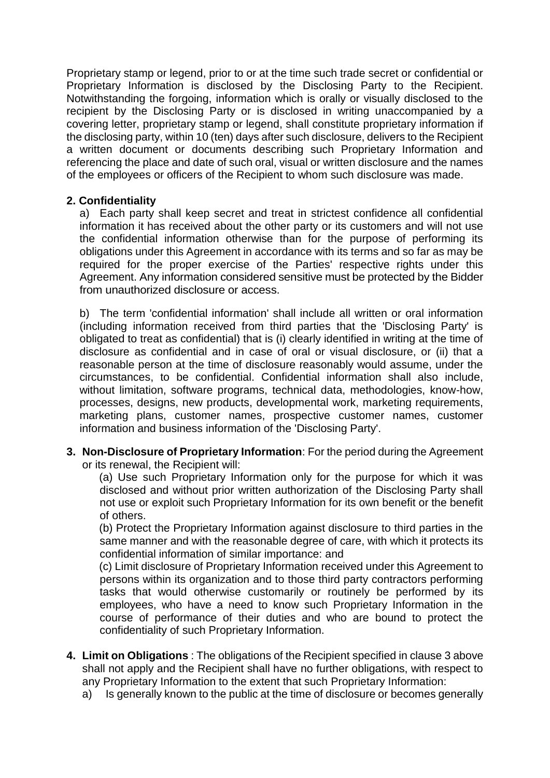Proprietary stamp or legend, prior to or at the time such trade secret or confidential or Proprietary Information is disclosed by the Disclosing Party to the Recipient. Notwithstanding the forgoing, information which is orally or visually disclosed to the recipient by the Disclosing Party or is disclosed in writing unaccompanied by a covering letter, proprietary stamp or legend, shall constitute proprietary information if the disclosing party, within 10 (ten) days after such disclosure, delivers to the Recipient a written document or documents describing such Proprietary Information and referencing the place and date of such oral, visual or written disclosure and the names of the employees or officers of the Recipient to whom such disclosure was made.

# **2. Confidentiality**

a) Each party shall keep secret and treat in strictest confidence all confidential information it has received about the other party or its customers and will not use the confidential information otherwise than for the purpose of performing its obligations under this Agreement in accordance with its terms and so far as may be required for the proper exercise of the Parties' respective rights under this Agreement. Any information considered sensitive must be protected by the Bidder from unauthorized disclosure or access.

b) The term 'confidential information' shall include all written or oral information (including information received from third parties that the 'Disclosing Party' is obligated to treat as confidential) that is (i) clearly identified in writing at the time of disclosure as confidential and in case of oral or visual disclosure, or (ii) that a reasonable person at the time of disclosure reasonably would assume, under the circumstances, to be confidential. Confidential information shall also include, without limitation, software programs, technical data, methodologies, know-how, processes, designs, new products, developmental work, marketing requirements, marketing plans, customer names, prospective customer names, customer information and business information of the 'Disclosing Party'.

**3. Non-Disclosure of Proprietary Information**: For the period during the Agreement or its renewal, the Recipient will:

(a) Use such Proprietary Information only for the purpose for which it was disclosed and without prior written authorization of the Disclosing Party shall not use or exploit such Proprietary Information for its own benefit or the benefit of others.

(b) Protect the Proprietary Information against disclosure to third parties in the same manner and with the reasonable degree of care, with which it protects its confidential information of similar importance: and

(c) Limit disclosure of Proprietary Information received under this Agreement to persons within its organization and to those third party contractors performing tasks that would otherwise customarily or routinely be performed by its employees, who have a need to know such Proprietary Information in the course of performance of their duties and who are bound to protect the confidentiality of such Proprietary Information.

- **4. Limit on Obligations** : The obligations of the Recipient specified in clause 3 above shall not apply and the Recipient shall have no further obligations, with respect to any Proprietary Information to the extent that such Proprietary Information:
	- a) Is generally known to the public at the time of disclosure or becomes generally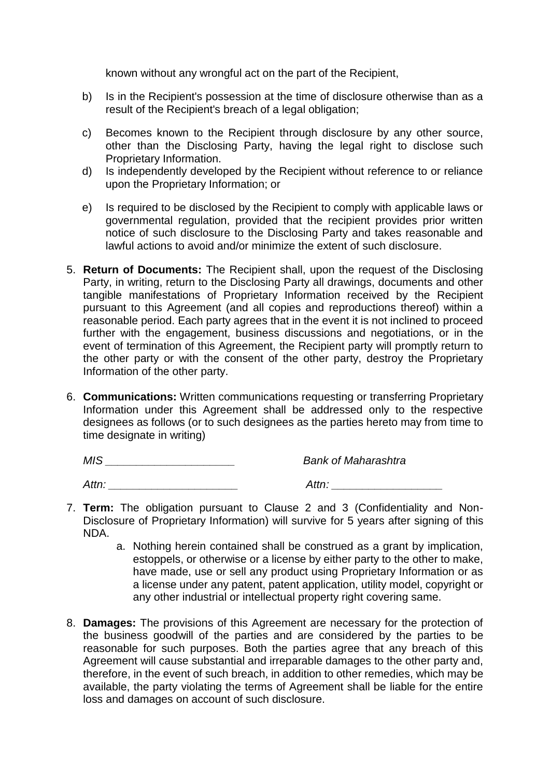known without any wrongful act on the part of the Recipient,

- b) Is in the Recipient's possession at the time of disclosure otherwise than as a result of the Recipient's breach of a legal obligation;
- c) Becomes known to the Recipient through disclosure by any other source, other than the Disclosing Party, having the legal right to disclose such Proprietary Information.
- d) Is independently developed by the Recipient without reference to or reliance upon the Proprietary Information; or
- e) Is required to be disclosed by the Recipient to comply with applicable laws or governmental regulation, provided that the recipient provides prior written notice of such disclosure to the Disclosing Party and takes reasonable and lawful actions to avoid and/or minimize the extent of such disclosure.
- 5. **Return of Documents:** The Recipient shall, upon the request of the Disclosing Party, in writing, return to the Disclosing Party all drawings, documents and other tangible manifestations of Proprietary Information received by the Recipient pursuant to this Agreement (and all copies and reproductions thereof) within a reasonable period. Each party agrees that in the event it is not inclined to proceed further with the engagement, business discussions and negotiations, or in the event of termination of this Agreement, the Recipient party will promptly return to the other party or with the consent of the other party, destroy the Proprietary Information of the other party.
- 6. **Communications:** Written communications requesting or transferring Proprietary Information under this Agreement shall be addressed only to the respective designees as follows (or to such designees as the parties hereto may from time to time designate in writing)

*MIS \_\_\_\_\_\_\_\_\_\_\_\_\_\_\_\_\_\_\_\_\_ Bank of Maharashtra*

*Attn: \_\_\_\_\_\_\_\_\_\_\_\_\_\_\_\_\_\_\_\_\_ Attn: \_\_\_\_\_\_\_\_\_\_\_\_\_\_\_\_\_\_*

- 7. **Term:** The obligation pursuant to Clause 2 and 3 (Confidentiality and Non-Disclosure of Proprietary Information) will survive for 5 years after signing of this NDA.
	- a. Nothing herein contained shall be construed as a grant by implication, estoppels, or otherwise or a license by either party to the other to make, have made, use or sell any product using Proprietary Information or as a license under any patent, patent application, utility model, copyright or any other industrial or intellectual property right covering same.
- 8. **Damages:** The provisions of this Agreement are necessary for the protection of the business goodwill of the parties and are considered by the parties to be reasonable for such purposes. Both the parties agree that any breach of this Agreement will cause substantial and irreparable damages to the other party and, therefore, in the event of such breach, in addition to other remedies, which may be available, the party violating the terms of Agreement shall be liable for the entire loss and damages on account of such disclosure.